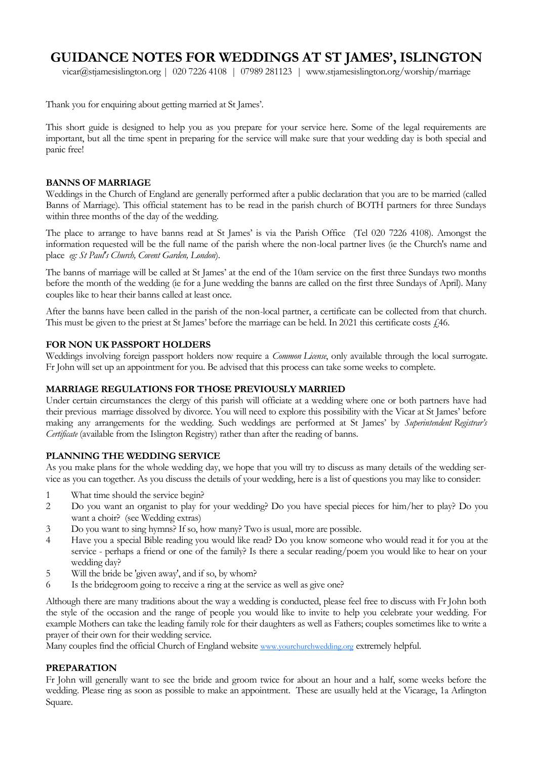# **GUIDANCE NOTES FOR WEDDINGS AT ST JAMES', ISLINGTON**

vicar@stjamesislington.org | 020 7226 4108 | 07989 281123 | www.stjamesislington.org/worship/marriage

Thank you for enquiring about getting married at St James'.

This short guide is designed to help you as you prepare for your service here. Some of the legal requirements are important, but all the time spent in preparing for the service will make sure that your wedding day is both special and panic free!

## **BANNS OF MARRIAGE**

Weddings in the Church of England are generally performed after a public declaration that you are to be married (called Banns of Marriage). This official statement has to be read in the parish church of BOTH partners for three Sundays within three months of the day of the wedding.

The place to arrange to have banns read at St James' is via the Parish Office (Tel 020 7226 4108). Amongst the information requested will be the full name of the parish where the non-local partner lives (ie the Church's name and place *eg: St Paul's Church, Covent Garden, London*).

The banns of marriage will be called at St James' at the end of the 10am service on the first three Sundays two months before the month of the wedding (ie for a June wedding the banns are called on the first three Sundays of April). Many couples like to hear their banns called at least once.

After the banns have been called in the parish of the non-local partner, a certificate can be collected from that church. This must be given to the priest at St James' before the marriage can be held. In 2021 this certificate costs  $f_146$ .

#### **FOR NON UK PASSPORT HOLDERS**

Weddings involving foreign passport holders now require a *Common License*, only available through the local surrogate. Fr John will set up an appointment for you. Be advised that this process can take some weeks to complete.

# **MARRIAGE REGULATIONS FOR THOSE PREVIOUSLY MARRIED**

Under certain circumstances the clergy of this parish will officiate at a wedding where one or both partners have had their previous marriage dissolved by divorce. You will need to explore this possibility with the Vicar at St James' before making any arrangements for the wedding. Such weddings are performed at St James' by *Superintendent Registrar's Certificate* (available from the Islington Registry) rather than after the reading of banns.

# **PLANNING THE WEDDING SERVICE**

As you make plans for the whole wedding day, we hope that you will try to discuss as many details of the wedding service as you can together. As you discuss the details of your wedding, here is a list of questions you may like to consider:

- 1 What time should the service begin?
- 2 Do you want an organist to play for your wedding? Do you have special pieces for him/her to play? Do you want a choir? (see Wedding extras)
- 3 Do you want to sing hymns? If so, how many? Two is usual, more are possible.
- 4 Have you a special Bible reading you would like read? Do you know someone who would read it for you at the service - perhaps a friend or one of the family? Is there a secular reading/poem you would like to hear on your wedding day?
- 5 Will the bride be 'given away', and if so, by whom?
- 6 Is the bridegroom going to receive a ring at the service as well as give one?

Although there are many traditions about the way a wedding is conducted, please feel free to discuss with Fr John both the style of the occasion and the range of people you would like to invite to help you celebrate your wedding. For example Mothers can take the leading family role for their daughters as well as Fathers; couples sometimes like to write a prayer of their own for their wedding service.

Many couples find the official Church of England website [www.yourchurchwedding.org](http://www.yourchurchwedding.org) extremely helpful.

#### **PREPARATION**

Fr John will generally want to see the bride and groom twice for about an hour and a half, some weeks before the wedding. Please ring as soon as possible to make an appointment. These are usually held at the Vicarage, 1a Arlington Square.